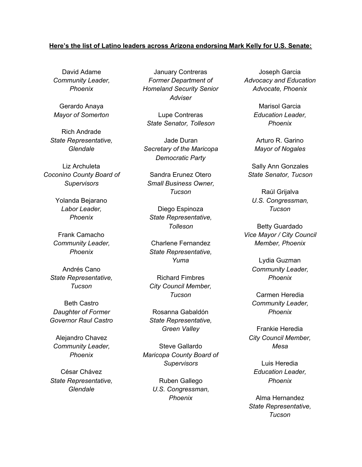## **Here's the list of Latino leaders across Arizona endorsing Mark Kelly for U.S. Senate:**

David Adame *Community Leader, Phoenix*

Gerardo Anaya *Mayor of Somerton*

Rich Andrade *State Representative, Glendale*

Liz Archuleta *Coconino County Board of Supervisors*

> Yolanda Bejarano *Labor Leader, Phoenix*

Frank Camacho *Community Leader, Phoenix*

Andrés Cano *State Representative, Tucson*

Beth Castro *Daughter of Former Governor Raul Castro*

Alejandro Chavez *Community Leader, Phoenix*

César Chávez *State Representative, Glendale*

January Contreras *Former Department of Homeland Security Senior Adviser*

Lupe Contreras *State Senator, Tolleson*

Jade Duran *Secretary of the Maricopa Democratic Party*

Sandra Erunez Otero *Small Business Owner, Tucson*

Diego Espinoza *State Representative, Tolleson*

Charlene Fernandez *State Representative, Yuma*

Richard Fimbres *City Council Member, Tucson*

Rosanna Gabaldón *State Representative, Green Valley*

Steve Gallardo *Maricopa County Board of Supervisors*

> Ruben Gallego *U.S. Congressman, Phoenix*

Joseph Garcia *Advocacy and Education Advocate, Phoenix*

> Marisol Garcia *Education Leader, Phoenix*

Arturo R. Garino *Mayor of Nogales*

Sally Ann Gonzales *State Senator, Tucson*

Raúl Grijalva *U.S. Congressman, Tucson*

Betty Guardado *Vice Mayor / City Council Member, Phoenix*

> Lydia Guzman *Community Leader, Phoenix*

> Carmen Heredia *Community Leader, Phoenix*

Frankie Heredia *City Council Member, Mesa*

Luis Heredia *Education Leader, Phoenix*

Alma Hernandez *State Representative, Tucson*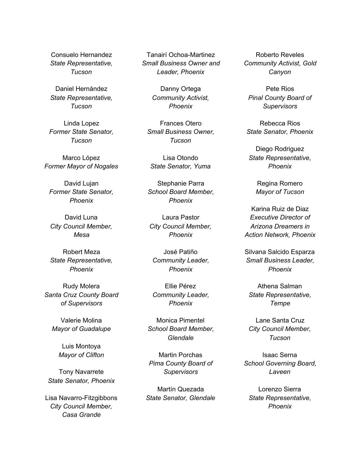Consuelo Hernandez *State Representative, Tucson*

Daniel Hernández *State Representative, Tucson*

Linda Lopez *Former State Senator, Tucson*

Marco López *Former Mayor of Nogales*

David Lujan *Former State Senator, Phoenix*

David Luna *City Council Member, Mesa*

Robert Meza *State Representative, Phoenix*

Rudy Molera *Santa Cruz County Board of Supervisors*

Valerie Molina *Mayor of Guadalupe*

> Luis Montoya *Mayor of Clifton*

Tony Navarrete *State Senator, Phoenix*

Lisa Navarro-Fitzgibbons *City Council Member, Casa Grande*

Tanairí Ochoa-Martinez *Small Business Owner and Leader, Phoenix*

> Danny Ortega *Community Activist, Phoenix*

Frances Otero *Small Business Owner, Tucson*

Lisa Otondo *State Senator, Yuma*

Stephanie Parra *School Board Member, Phoenix*

Laura Pastor *City Council Member, Phoenix*

José Patiño *Community Leader, Phoenix*

Ellie Pérez *Community Leader, Phoenix*

Monica Pimentel *School Board Member, Glendale*

Martin Porchas *Pima County Board of Supervisors*

Martín Quezada *State Senator, Glendale*

Roberto Reveles *Community Activist, Gold Canyon*

Pete Rios *Pinal County Board of Supervisors*

Rebecca Rios *State Senator, Phoenix*

Diego Rodriguez *State Representative, Phoenix*

> Regina Romero *Mayor of Tucson*

Karina Ruiz de Diaz *Executive Director of Arizona Dreamers in Action Network, Phoenix*

Silvana Salcido Esparza *Small Business Leader, Phoenix*

Athena Salman *State Representative, Tempe*

Lane Santa Cruz *City Council Member, Tucson*

Isaac Serna *School Governing Board, Laveen*

Lorenzo Sierra *State Representative, Phoenix*